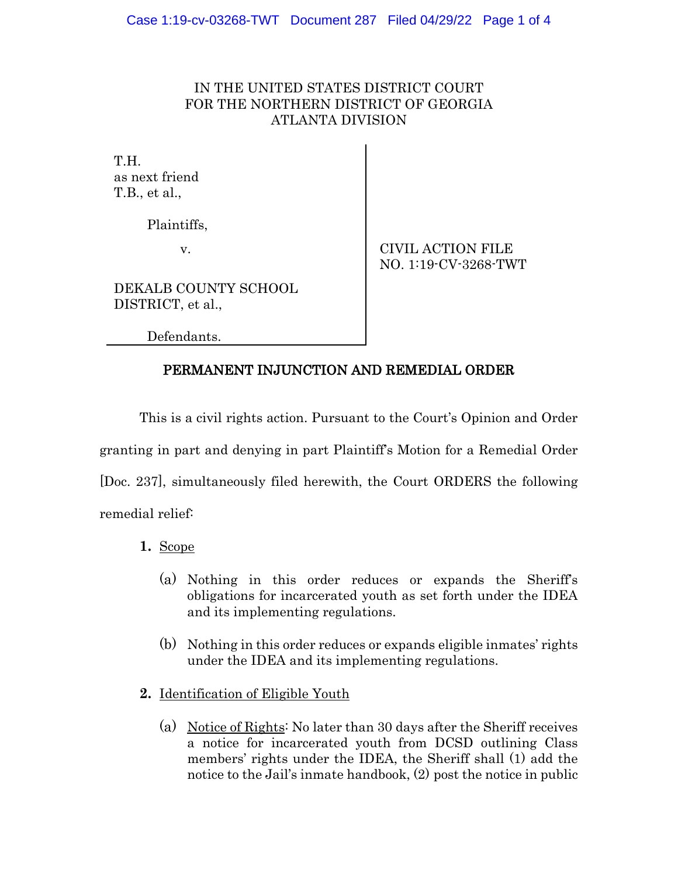## IN THE UNITED STATES DISTRICT COURT FOR THE NORTHERN DISTRICT OF GEORGIA ATLANTA DIVISION

TH<sub>.</sub> as next friend T.B., et al.,

Plaintiffs,

v. CIVIL ACTION FILE NO. 1:19-CV-3268-TWT

DEKALB COUNTY SCHOOL DISTRICT, et al.,

Defendants.

## PERMANENT INJUNCTION AND REMEDIAL ORDER

This is a civil rights action. Pursuant to the Court's Opinion and Order granting in part and denying in part Plaintiff's Motion for a Remedial Order [Doc. 237], simultaneously filed herewith, the Court ORDERS the following remedial relief:

- **1.** Scope
	- (a) Nothing in this order reduces or expands the Sheriff's obligations for incarcerated youth as set forth under the IDEA and its implementing regulations.
	- (b) Nothing in this order reduces or expands eligible inmates' rights under the IDEA and its implementing regulations.
- **2.** Identification of Eligible Youth
	- (a) Notice of Rights: No later than 30 days after the Sheriff receives a notice for incarcerated youth from DCSD outlining Class members' rights under the IDEA, the Sheriff shall (1) add the notice to the Jail's inmate handbook, (2) post the notice in public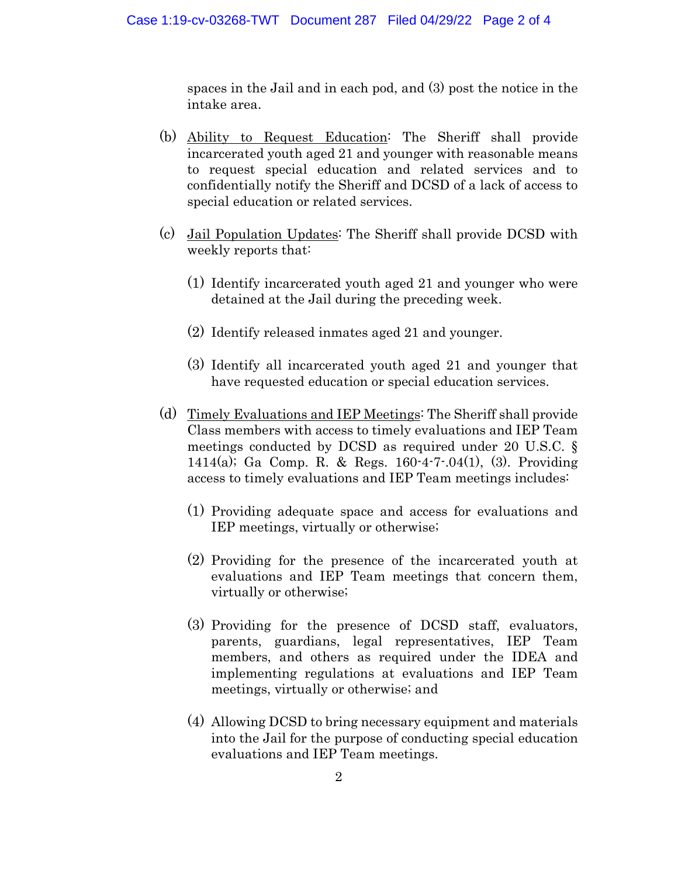spaces in the Jail and in each pod, and (3) post the notice in the intake area.

- (b) Ability to Request Education: The Sheriff shall provide incarcerated youth aged 21 and younger with reasonable means to request special education and related services and to confidentially notify the Sheriff and DCSD of a lack of access to special education or related services.
- (c) Jail Population Updates: The Sheriff shall provide DCSD with weekly reports that:
	- (1) Identify incarcerated youth aged 21 and younger who were detained at the Jail during the preceding week.
	- (2) Identify released inmates aged 21 and younger.
	- (3) Identify all incarcerated youth aged 21 and younger that have requested education or special education services.
- (d) Timely Evaluations and IEP Meetings: The Sheriff shall provide Class members with access to timely evaluations and IEP Team meetings conducted by DCSD as required under 20 U.S.C. § 1414(a); Ga Comp. R. & Regs. 160-4-7-.04(1), (3). Providing access to timely evaluations and IEP Team meetings includes:
	- (1) Providing adequate space and access for evaluations and IEP meetings, virtually or otherwise;
	- (2) Providing for the presence of the incarcerated youth at evaluations and IEP Team meetings that concern them, virtually or otherwise;
	- (3) Providing for the presence of DCSD staff, evaluators, parents, guardians, legal representatives, IEP Team members, and others as required under the IDEA and implementing regulations at evaluations and IEP Team meetings, virtually or otherwise; and
	- (4) Allowing DCSD to bring necessary equipment and materials into the Jail for the purpose of conducting special education evaluations and IEP Team meetings.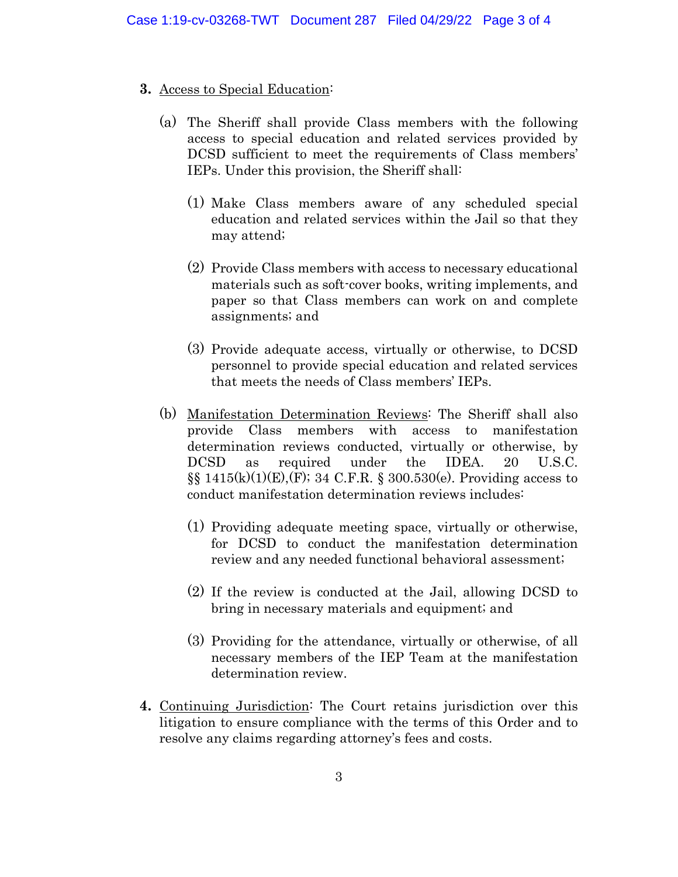## **3.** Access to Special Education:

- (a) The Sheriff shall provide Class members with the following access to special education and related services provided by DCSD sufficient to meet the requirements of Class members' IEPs. Under this provision, the Sheriff shall:
	- (1) Make Class members aware of any scheduled special education and related services within the Jail so that they may attend;
	- (2) Provide Class members with access to necessary educational materials such as soft-cover books, writing implements, and paper so that Class members can work on and complete assignments; and
	- (3) Provide adequate access, virtually or otherwise, to DCSD personnel to provide special education and related services that meets the needs of Class members' IEPs.
- (b) Manifestation Determination Reviews: The Sheriff shall also provide Class members with access to manifestation determination reviews conducted, virtually or otherwise, by DCSD as required under the IDEA. 20 U.S.C.  $\S$ [415(k)(1)(E),(F); 34 C.F.R.  $\S$  300.530(e). Providing access to conduct manifestation determination reviews includes:
	- (1) Providing adequate meeting space, virtually or otherwise, for DCSD to conduct the manifestation determination review and any needed functional behavioral assessment;
	- (2) If the review is conducted at the Jail, allowing DCSD to bring in necessary materials and equipment; and
	- (3) Providing for the attendance, virtually or otherwise, of all necessary members of the IEP Team at the manifestation determination review.
- **4.** Continuing Jurisdiction: The Court retains jurisdiction over this litigation to ensure compliance with the terms of this Order and to resolve any claims regarding attorney's fees and costs.